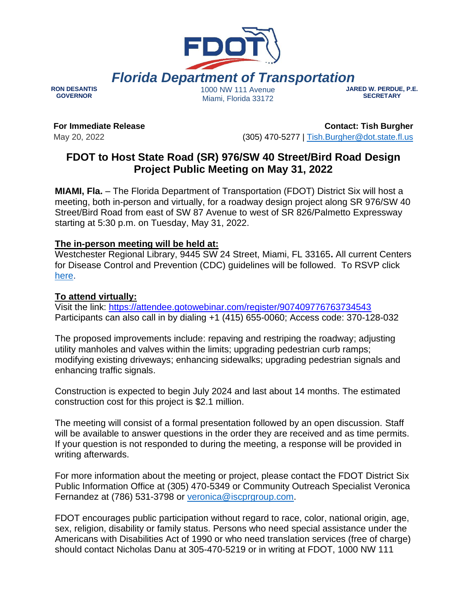

**RON DESANTIS GOVERNOR**

Miami, Florida 33172

**JARED W. PERDUE, P.E. SECRETARY**

**For Immediate Release**

May 20, 2022

**Contact: Tish Burgher** (305) 470-5277 | [Tish.Burgher@dot.state.fl.us](mailto:Tish.Burgher@dot.state.fl.us)

## **FDOT to Host State Road (SR) 976/SW 40 Street/Bird Road Design Project Public Meeting on May 31, 2022**

**MIAMI, Fla.** – The Florida Department of Transportation (FDOT) District Six will host a meeting, both in-person and virtually, for a roadway design project along SR 976/SW 40 Street/Bird Road from east of SW 87 Avenue to west of SR 826/Palmetto Expressway starting at 5:30 p.m. on Tuesday, May 31, 2022.

## **The in-person meeting will be held at:**

Westchester Regional Library, 9445 SW 24 Street, Miami, FL 33165**.** All current Centers for Disease Control and Prevention (CDC) guidelines will be followed. To RSVP click [here.](https://survey.zohopublic.com/zs/ODCCKY)

## **To attend virtually:**

Visit the link: <https://attendee.gotowebinar.com/register/907409776763734543> Participants can also call in by dialing +1 (415) 655-0060; Access code: 370-128-032

The proposed improvements include: repaving and restriping the roadway; adjusting utility manholes and valves within the limits; upgrading pedestrian curb ramps; modifying existing driveways; enhancing sidewalks; upgrading pedestrian signals and enhancing traffic signals.

Construction is expected to begin July 2024 and last about 14 months. The estimated construction cost for this project is \$2.1 million.

The meeting will consist of a formal presentation followed by an open discussion. Staff will be available to answer questions in the order they are received and as time permits. If your question is not responded to during the meeting, a response will be provided in writing afterwards.

For more information about the meeting or project, please contact the FDOT District Six Public Information Office at (305) 470-5349 or Community Outreach Specialist Veronica Fernandez at (786) 531-3798 or [veronica@iscprgroup.com.](mailto:veronica@iscprgroup.com)

FDOT encourages public participation without regard to race, color, national origin, age, sex, religion, disability or family status. Persons who need special assistance under the Americans with Disabilities Act of 1990 or who need translation services (free of charge) should contact Nicholas Danu at 305-470-5219 or in writing at FDOT, 1000 NW 111